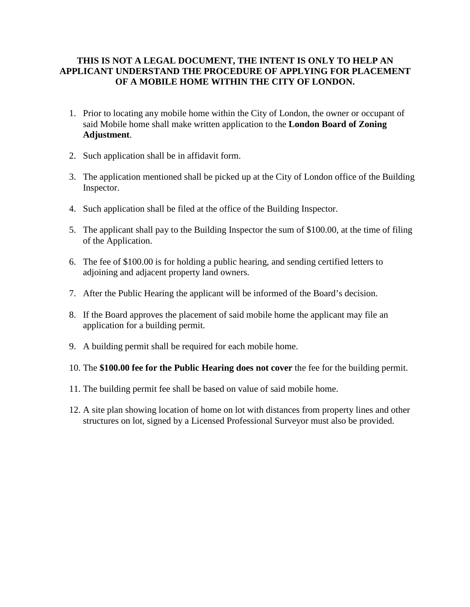## **THIS IS NOT A LEGAL DOCUMENT, THE INTENT IS ONLY TO HELP AN APPLICANT UNDERSTAND THE PROCEDURE OF APPLYING FOR PLACEMENT OF A MOBILE HOME WITHIN THE CITY OF LONDON.**

- 1. Prior to locating any mobile home within the City of London, the owner or occupant of said Mobile home shall make written application to the **London Board of Zoning Adjustment**.
- 2. Such application shall be in affidavit form.
- 3. The application mentioned shall be picked up at the City of London office of the Building Inspector.
- 4. Such application shall be filed at the office of the Building Inspector.
- 5. The applicant shall pay to the Building Inspector the sum of \$100.00, at the time of filing of the Application.
- 6. The fee of \$100.00 is for holding a public hearing, and sending certified letters to adjoining and adjacent property land owners.
- 7. After the Public Hearing the applicant will be informed of the Board's decision.
- 8. If the Board approves the placement of said mobile home the applicant may file an application for a building permit.
- 9. A building permit shall be required for each mobile home.
- 10. The **\$100.00 fee for the Public Hearing does not cover** the fee for the building permit.
- 11. The building permit fee shall be based on value of said mobile home.
- 12. A site plan showing location of home on lot with distances from property lines and other structures on lot, signed by a Licensed Professional Surveyor must also be provided.